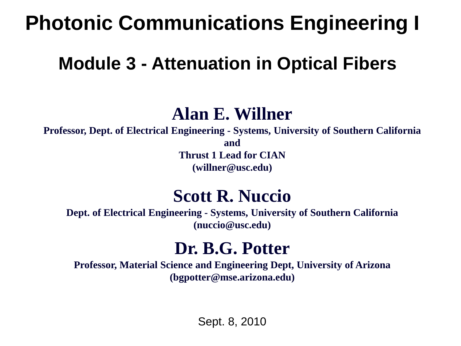### **Photonic Communications Engineering I**

### **Module 3 - Attenuation in Optical Fibers**

### **Alan E. Willner**

**Professor, Dept. of Electrical Engineering - Systems, University of Southern California and Thrust 1 Lead for CIAN**

**(willner@usc.edu)**

### **Scott R. Nuccio**

**Dept. of Electrical Engineering - Systems, University of Southern California (nuccio@usc.edu)**

### **Dr. B.G. Potter**

**Professor, Material Science and Engineering Dept, University of Arizona (bgpotter@mse.arizona.edu)**

Sept. 8, 2010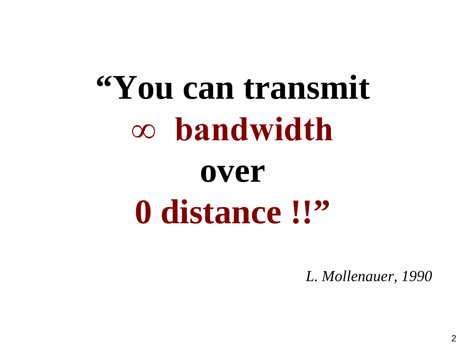# **"You can transmit ∞ bandwidth over 0 distance !!"**

*L. Mollenauer, 1990*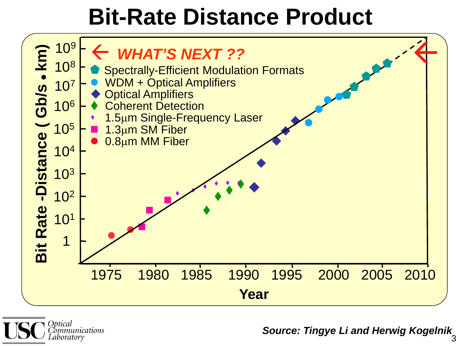### **Bit-Rate Distance Product**





*Source: Tingye Li and Herwig Kogelnik*  3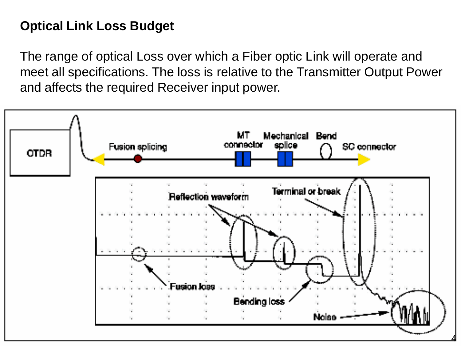#### **Optical Link Loss Budget**

The range of optical Loss over which a Fiber optic Link will operate and meet all specifications. The loss is relative to the Transmitter Output Power and affects the required Receiver input power.

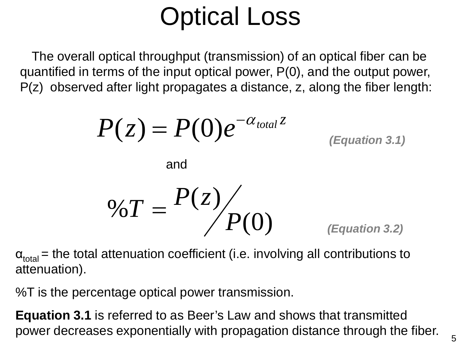## Optical Loss

The overall optical throughput (transmission) of an optical fiber can be quantified in terms of the input optical power, P(0), and the output power, P(z) observed after light propagates a distance, z, along the fiber length:

$$
P(z) = P(0)e^{-\alpha_{total}z}
$$
  
and

$$
\%T = \frac{P(z)}{P(0)}
$$
 (Equation 3.2)

 $\alpha_{total}$  = the total attenuation coefficient (i.e. involving all contributions to attenuation).

%T is the percentage optical power transmission.

**Equation 3.1** is referred to as Beer's Law and shows that transmitted power decreases exponentially with propagation distance through the fiber.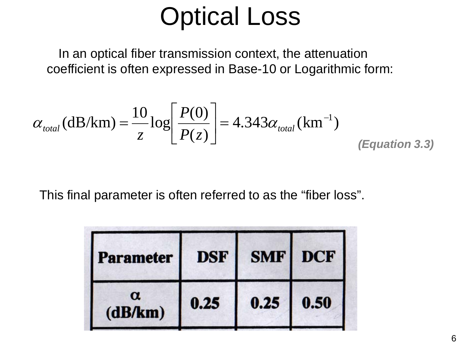### Optical Loss

In an optical fiber transmission context, the attenuation coefficient is often expressed in Base-10 or Logarithmic form:

$$
\alpha_{\text{total}}(\text{dB/km}) = \frac{10}{z} \log \left[ \frac{P(0)}{P(z)} \right] = 4.343 \alpha_{\text{total}}(\text{km}^{-1})
$$
\n(Equation 3.3)

This final parameter is often referred to as the "fiber loss".

| <b>Parameter</b>    | <b>DSF</b> | <b>SMF</b> DCF |      |
|---------------------|------------|----------------|------|
| $\alpha$<br>(dB/km) | 0.25       | 0.25           | 0.50 |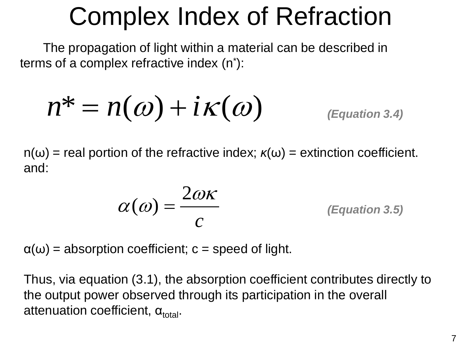### Complex Index of Refraction

The propagation of light within a material can be described in terms of a complex refractive index (n\* ):

$$
n^* = n(\omega) + i\kappa(\omega) \qquad \text{(Equation 3.4)}
$$

 $n(\omega)$  = real portion of the refractive index;  $\kappa(\omega)$  = extinction coefficient. and:

$$
\alpha(\omega) = \frac{2\omega\kappa}{c}
$$
 (Equation 3.5)

 $\alpha(\omega)$  = absorption coefficient; c = speed of light.

Thus, via equation (3.1), the absorption coefficient contributes directly to the output power observed through its participation in the overall attenuation coefficient,  $\alpha_{total}$ .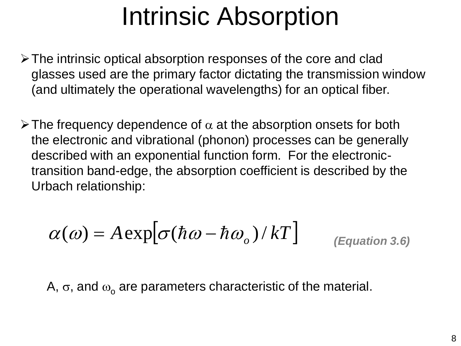### Intrinsic Absorption

- The intrinsic optical absorption responses of the core and clad glasses used are the primary factor dictating the transmission window (and ultimately the operational wavelengths) for an optical fiber.
- $\triangleright$  The frequency dependence of  $\alpha$  at the absorption onsets for both the electronic and vibrational (phonon) processes can be generally described with an exponential function form. For the electronictransition band-edge, the absorption coefficient is described by the Urbach relationship:

$$
\alpha(\omega) = A \exp[\sigma(\hbar\omega - \hbar\omega_o)/kT] \qquad \text{(Equation 3.6)}
$$

A,  $\sigma$ , and  $\omega_0$  are parameters characteristic of the material.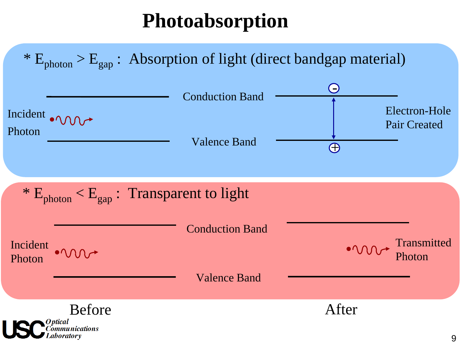### **Photoabsorption**

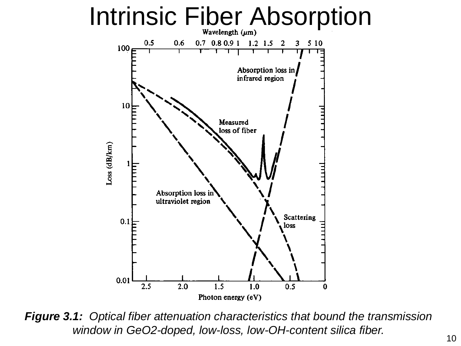

*Figure 3.1: Optical fiber attenuation characteristics that bound the transmission window in GeO2-doped, low-loss, low-OH-content silica fiber.*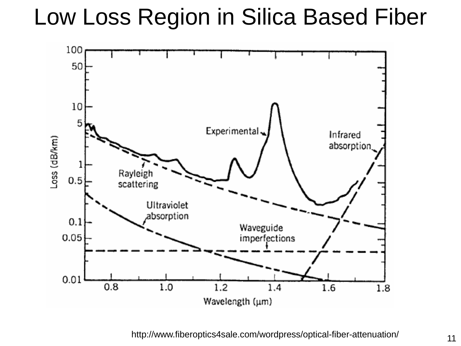Low Loss Region in Silica Based Fiber



http://www.fiberoptics4sale.com/wordpress/optical-fiber-attenuation/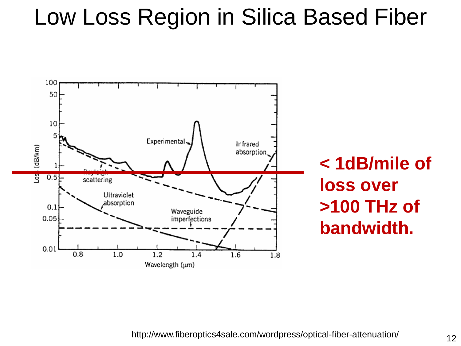### Low Loss Region in Silica Based Fiber



http://www.fiberoptics4sale.com/wordpress/optical-fiber-attenuation/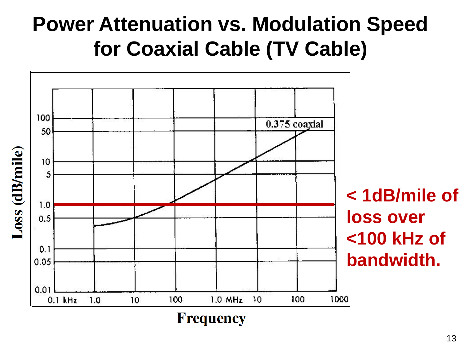### **Power Attenuation vs. Modulation Speed for Coaxial Cable (TV Cable)**

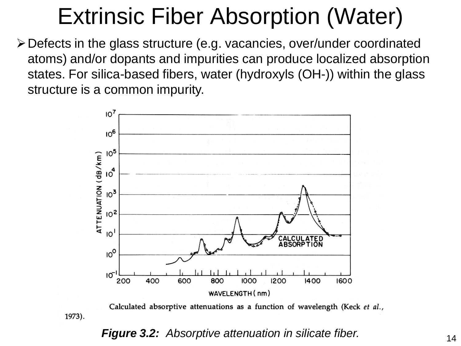### Extrinsic Fiber Absorption (Water)

Defects in the glass structure (e.g. vacancies, over/under coordinated atoms) and/or dopants and impurities can produce localized absorption states. For silica-based fibers, water (hydroxyls (OH-)) within the glass structure is a common impurity.



Calculated absorptive attenuations as a function of wavelength (Keck et al.,

#### *Figure 3.2: Absorptive attenuation in silicate fiber.*

1973).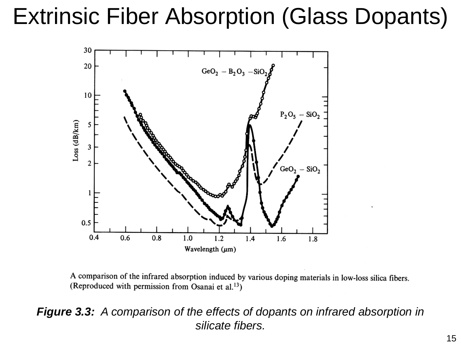### Extrinsic Fiber Absorption (Glass Dopants)



A comparison of the infrared absorption induced by various doping materials in low-loss silica fibers. (Reproduced with permission from Osanai et al.<sup>13</sup>)

#### *Figure 3.3: A comparison of the effects of dopants on infrared absorption in silicate fibers.*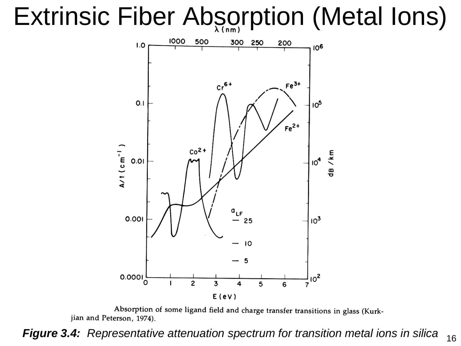## Extrinsic Fiber Absorption (Metal Ions)



Absorption of some ligand field and charge transfer transitions in glass (Kurkjian and Peterson, 1974).

*Figure 3.4: Representative attenuation spectrum for transition metal ions in silica*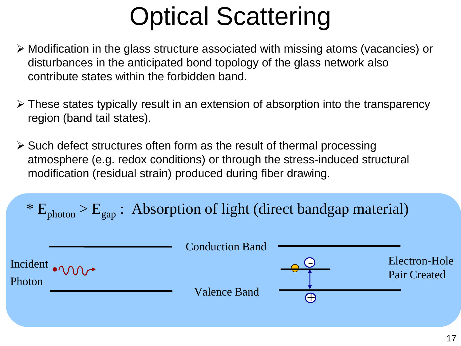## Optical Scattering

- Modification in the glass structure associated with missing atoms (vacancies) or disturbances in the anticipated bond topology of the glass network also contribute states within the forbidden band.
- These states typically result in an extension of absorption into the transparency region (band tail states).
- $\triangleright$  Such defect structures often form as the result of thermal processing atmosphere (e.g. redox conditions) or through the stress-induced structural modification (residual strain) produced during fiber drawing.

\*  $E_{photon}$  >  $E_{gap}$ : Absorption of light (direct bandgap material)

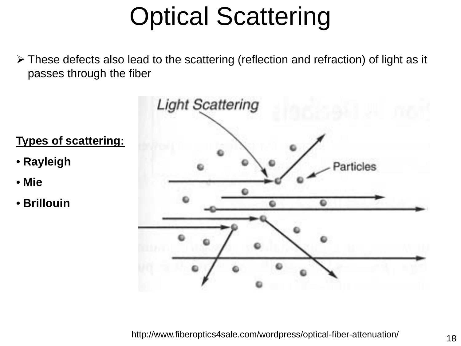## Optical Scattering

 These defects also lead to the scattering (reflection and refraction) of light as it passes through the fiber

• **Rayleigh**

• **Brillouin**

• **Mie**



http://www.fiberoptics4sale.com/wordpress/optical-fiber-attenuation/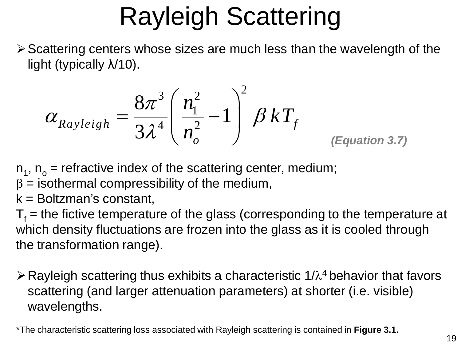## Rayleigh Scattering

Scattering centers whose sizes are much less than the wavelength of the light (typically λ/10).

$$
\alpha_{Rayleigh} = \frac{8\pi^3}{3\lambda^4} \left(\frac{n_1^2}{n_o^2} - 1\right)^2 \beta kT_f
$$
\n(Equation 3.7)

 $n_1$ ,  $n_0$  = refractive index of the scattering center, medium;

 $β =$  isothermal compressibility of the medium,

 $k =$  Boltzman's constant,

 $T<sub>f</sub>$  = the fictive temperature of the glass (corresponding to the temperature at which density fluctuations are frozen into the glass as it is cooled through the transformation range).

 $\triangleright$  Rayleigh scattering thus exhibits a characteristic 1/ $\lambda$ <sup>4</sup> behavior that favors scattering (and larger attenuation parameters) at shorter (i.e. visible) wavelengths.

\*The characteristic scattering loss associated with Rayleigh scattering is contained in **Figure 3.1.**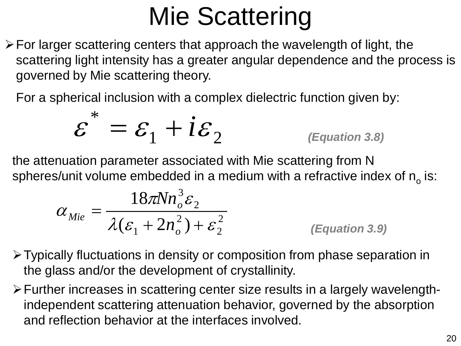## Mie Scattering

 $\triangleright$  For larger scattering centers that approach the wavelength of light, the scattering light intensity has a greater angular dependence and the process is governed by Mie scattering theory.

For a spherical inclusion with a complex dielectric function given by:

$$
\varepsilon^* = \varepsilon_1 + i\varepsilon_2 \qquad \qquad \text{(Equation 3.8)}
$$

the attenuation parameter associated with Mie scattering from N spheres/unit volume embedded in a medium with a refractive index of  $n_{o}$  is:

$$
\alpha_{Mie} = \frac{18\pi N n_o^3 \varepsilon_2}{\lambda(\varepsilon_1 + 2n_o^2) + \varepsilon_2^2}
$$
 (Equation 3.9)

- Typically fluctuations in density or composition from phase separation in the glass and/or the development of crystallinity.
- Further increases in scattering center size results in a largely wavelengthindependent scattering attenuation behavior, governed by the absorption and reflection behavior at the interfaces involved.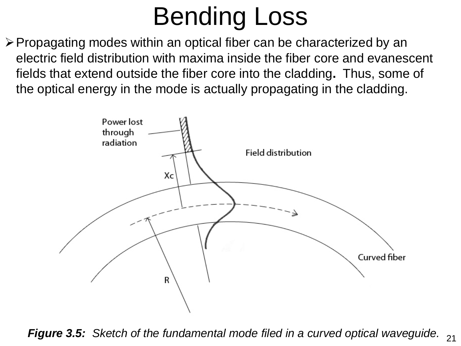## Bending Loss

Propagating modes within an optical fiber can be characterized by an electric field distribution with maxima inside the fiber core and evanescent fields that extend outside the fiber core into the cladding**.** Thus, some of the optical energy in the mode is actually propagating in the cladding.



**Figure 3.5:** Sketch of the fundamental mode filed in a curved optical waveguide. 21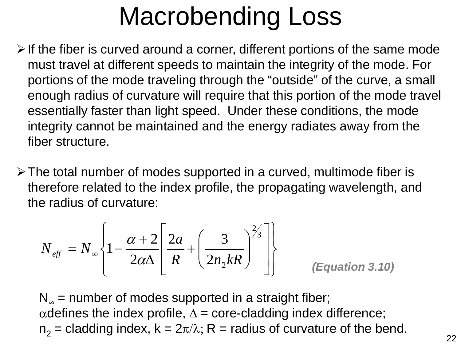## Macrobending Loss

- $\triangleright$  If the fiber is curved around a corner, different portions of the same mode must travel at different speeds to maintain the integrity of the mode. For portions of the mode traveling through the "outside" of the curve, a small enough radius of curvature will require that this portion of the mode travel essentially faster than light speed. Under these conditions, the mode integrity cannot be maintained and the energy radiates away from the fiber structure.
- $\triangleright$  The total number of modes supported in a curved, multimode fiber is therefore related to the index profile, the propagating wavelength, and the radius of curvature:

$$
N_{\text{eff}} = N_{\infty} \left\{ 1 - \frac{\alpha + 2}{2\alpha\Delta} \left[ \frac{2a}{R} + \left( \frac{3}{2n_2 kR} \right)^{2/3} \right] \right\}
$$
 (Equation 3.10)

 $N_{\infty}$  = number of modes supported in a straight fiber; αdefines the index profile,  $\Delta$  = core-cladding index difference;  $n_2$  = cladding index,  $k = 2\pi/\lambda$ ; R = radius of curvature of the bend.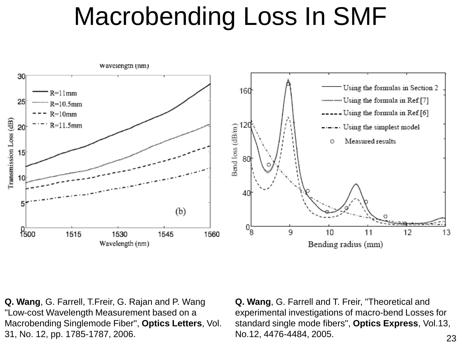## Macrobending Loss In SMF



**Q. Wang**, G. Farrell, T.Freir, G. Rajan and P. Wang "Low-cost Wavelength Measurement based on a Macrobending Singlemode Fiber", **Optics Letters**, Vol. 31, No. 12, pp. 1785-1787, 2006.

**Q. Wang**, G. Farrell and T. Freir, "Theoretical and experimental investigations of macro-bend Losses for standard single mode fibers", **Optics Express**, Vol.13, No.12, 4476-4484, 2005.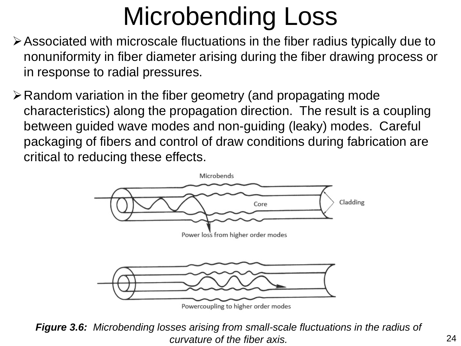## Microbending Loss

- Associated with microscale fluctuations in the fiber radius typically due to nonuniformity in fiber diameter arising during the fiber drawing process or in response to radial pressures.
- $\triangleright$  Random variation in the fiber geometry (and propagating mode characteristics) along the propagation direction. The result is a coupling between guided wave modes and non-guiding (leaky) modes. Careful packaging of fibers and control of draw conditions during fabrication are critical to reducing these effects.



Powercoupling to higher order modes

*Figure 3.6: Microbending losses arising from small-scale fluctuations in the radius of curvature of the fiber axis.* 24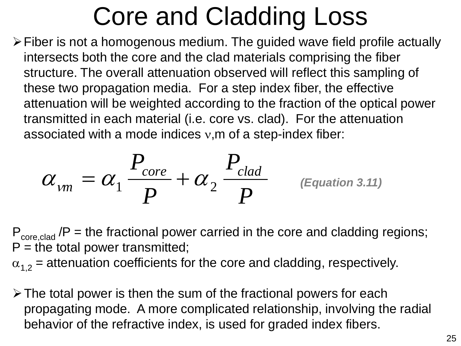## Core and Cladding Loss

 $\triangleright$  Fiber is not a homogenous medium. The guided wave field profile actually intersects both the core and the clad materials comprising the fiber structure. The overall attenuation observed will reflect this sampling of these two propagation media. For a step index fiber, the effective attenuation will be weighted according to the fraction of the optical power transmitted in each material (i.e. core vs. clad). For the attenuation associated with a mode indices v,m of a step-index fiber:

$$
\alpha_{vm} = \alpha_1 \frac{P_{core}}{P} + \alpha_2 \frac{P_{clad}}{P}
$$
 (Equation 3.11)

 $P_{\text{core,clad}}$  /P = the fractional power carried in the core and cladding regions;  $P =$  the total power transmitted;

 $\alpha_{1,2}$  = attenuation coefficients for the core and cladding, respectively.

 $\triangleright$  The total power is then the sum of the fractional powers for each propagating mode. A more complicated relationship, involving the radial behavior of the refractive index, is used for graded index fibers.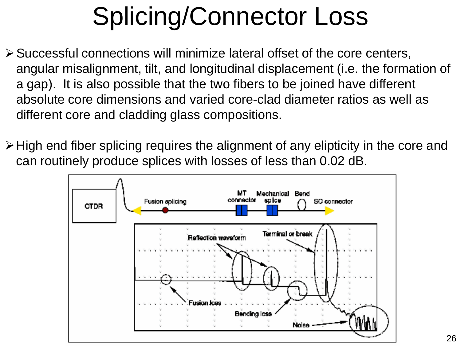## Splicing/Connector Loss

- $\triangleright$  Successful connections will minimize lateral offset of the core centers, angular misalignment, tilt, and longitudinal displacement (i.e. the formation of a gap). It is also possible that the two fibers to be joined have different absolute core dimensions and varied core-clad diameter ratios as well as different core and cladding glass compositions.
- High end fiber splicing requires the alignment of any elipticity in the core and can routinely produce splices with losses of less than 0.02 dB.

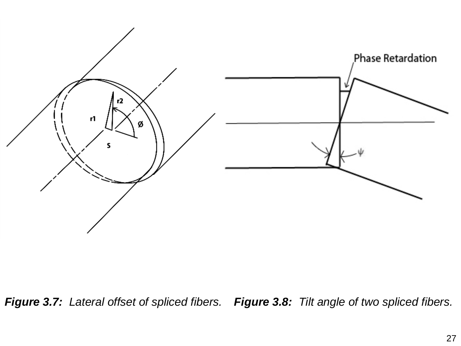

*Figure 3.7: Lateral offset of spliced fibers. Figure 3.8: Tilt angle of two spliced fibers.*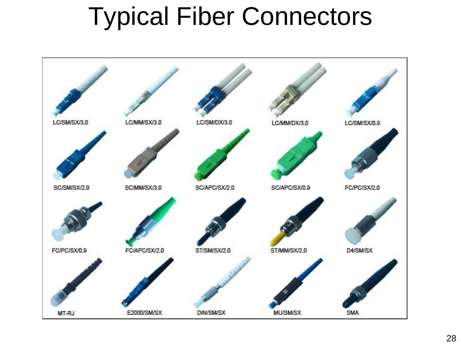### Typical Fiber Connectors

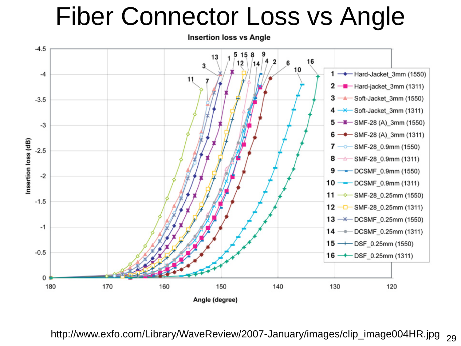### Fiber Connector Loss vs Angle



http://www.exfo.com/Library/WaveReview/2007-January/images/clip\_image004HR.jpg 29